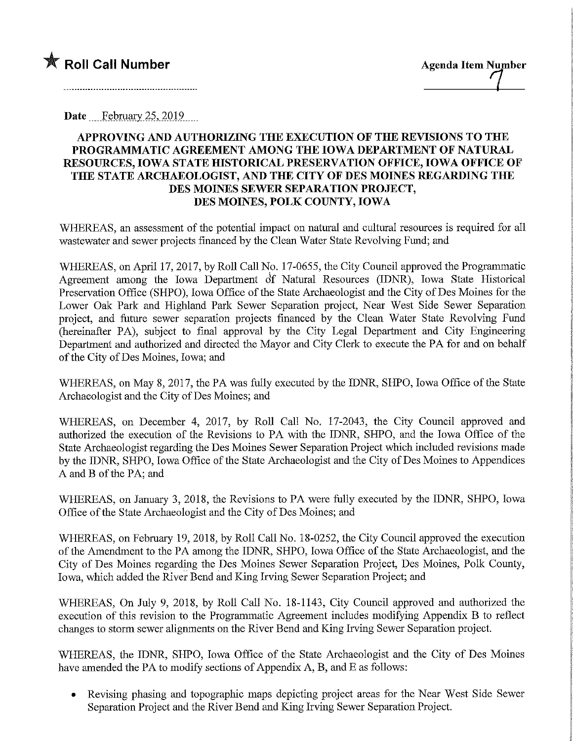

Date February 25, 2019.

## APPROVING AND AUTHORIZING THE EXECUTION OF THE REVISIONS TO THE PROGRAMMATIC AGREEMENT AMONG THE IOWA DEPARTMENT OF NATURAL RESOURCES, IOWA STATE HISTORICAL PRESERVATION OFFICE, IOWA OFFICE OF THE STATE ARCHAEOLOGIST, AND THE CITY OF DES MOINES REGARDING THE DES MOINES SEWER SEPARATION PROJECT, DES MOINES, POLK COUNTY, IOWA

WHEREAS, an assessment of the potential impact on natural and cultural resources is required for all wastewater and sewer projects financed by the Clean Water State Revolving Fund; and

WHEREAS, on April 17, 2017, by Roll Call No. 17-0655, the City Council approved the Programmatic Agreement among the Iowa Department of Natural Resources (IDNR), Iowa State Historical Preservation Office (SHPO), Iowa Office of the State Archaeologist and the City of Des Moines for the Lower Oak Park and Highland Park Sewer Separation project. Near West Side Sewer Separation project, and future sewer separation projects financed by the Clean Water State Revolving Fund (hereinafter PA), subject to final approval by the City Legal Department and City Engineering Department and authorized and directed the Mayor and City Clerk to execute the PA for and on behalf of the City of Des Moines, Iowa; and

WHEREAS, on May 8, 2017, the PA was fully executed by the IDNR, SHPO, Iowa Office of the State Archaeologist and the City of Des Moines; and

WHEREAS, on December 4, 2017, by Roll Call No. 17-2043, the City Council approved and authorized the execution of the Revisions to PA with the IDNR, SHPO, and the Iowa Office of the State Archaeologist regarding the Des Moines Sewer Separation Project which included revisions made by the IDNR, SHPO, Iowa Office of the State Archaeologist and the City of Des Moines to Appendices A and B of the PA; and

WHEREAS, on January 3, 2018, the Revisions to PA were fully executed by the IDNR, SHPO, Iowa Office of the State Archaeologist and the City of Des Moines; and

WHEREAS, on February 19, 2018, by Roll Call No. 18-0252, the City Council approved the execution of the Amendment to the PA among the IDNR, SHPO, Iowa Office of the State Archaeologist, and the City of Des Moines regarding the Des Moines Sewer Separation Project, Des Moines, Polk County, Iowa, which added the River Bend and King Irving Sewer Separation Project; and

WHEREAS, On July 9, 2018, by Roll Call No. 18-1143, City Council approved and authorized the execution of this revision to the Programmatic Agreement includes modifymg Appendix B to reflect changes to storm sewer alignments on the River Bend and King Irving Sewer Separation project.

WHEREAS, the IDNR, SHPO, Iowa Office of the State Archaeologist and the City of Des Moines have amended the PA to modify sections of Appendix A, B, and E as follows:

• Revising phasing and topographic maps depicting project areas for the Near West Side Sewer Separation Project and the River Bend and King Irving Sewer Separation Project.